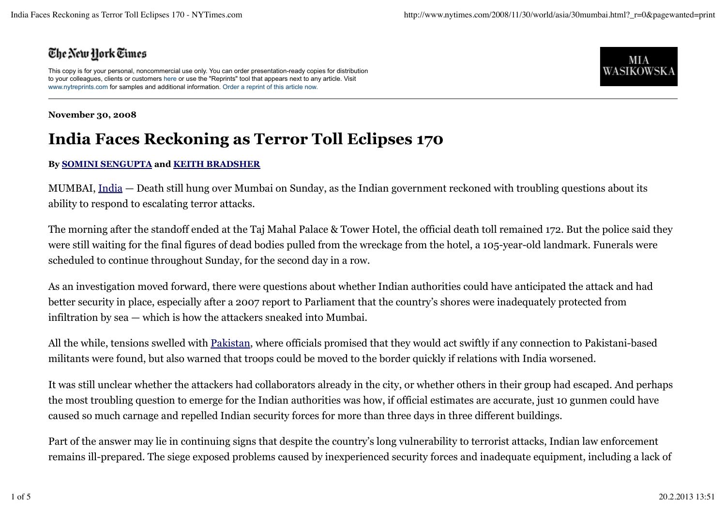## The New Hork Times

This copy is for your personal, noncommercial use only. You can order presentation-ready copies for distribution to your colleagues, clients or customers here or use the "Reprints" tool that appears next to any article. Visit www.nytreprints.com for samples and additional information. Order a reprint of this article now.



**November 30, 2008**

## **India Faces Reckoning as Terror Toll Eclipses 170**

## **By SOMINI SENGUPTA and KEITH BRADSHER**

MUMBAI, India — Death still hung over Mumbai on Sunday, as the Indian government reckoned with troubling questions about its ability to respond to escalating terror attacks.

The morning after the standoff ended at the Taj Mahal Palace & Tower Hotel, the official death toll remained 172. But the police said they were still waiting for the final figures of dead bodies pulled from the wreckage from the hotel, a 105-year-old landmark. Funerals were scheduled to continue throughout Sunday, for the second day in a row.

As an investigation moved forward, there were questions about whether Indian authorities could have anticipated the attack and had better security in place, especially after a 2007 report to Parliament that the country's shores were inadequately protected from infiltration by sea — which is how the attackers sneaked into Mumbai.

All the while, tensions swelled with Pakistan, where officials promised that they would act swiftly if any connection to Pakistani-based militants were found, but also warned that troops could be moved to the border quickly if relations with India worsened.

It was still unclear whether the attackers had collaborators already in the city, or whether others in their group had escaped. And perhaps the most troubling question to emerge for the Indian authorities was how, if official estimates are accurate, just 10 gunmen could have caused so much carnage and repelled Indian security forces for more than three days in three different buildings.

Part of the answer may lie in continuing signs that despite the country's long vulnerability to terrorist attacks, Indian law enforcement remains ill-prepared. The siege exposed problems caused by inexperienced security forces and inadequate equipment, including a lack of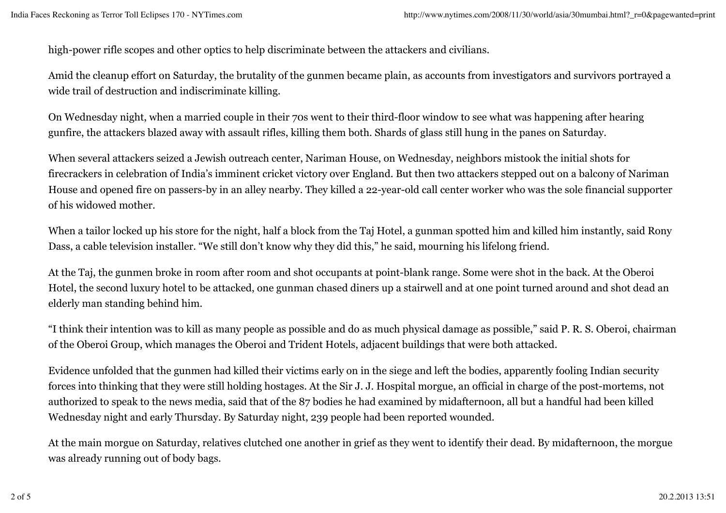high-power rifle scopes and other optics to help discriminate between the attackers and civilians.

Amid the cleanup effort on Saturday, the brutality of the gunmen became plain, as accounts from investigators and survivors portrayed a wide trail of destruction and indiscriminate killing.

On Wednesday night, when a married couple in their 70s went to their third-floor window to see what was happening after hearing gunfire, the attackers blazed away with assault rifles, killing them both. Shards of glass still hung in the panes on Saturday.

When several attackers seized a Jewish outreach center, Nariman House, on Wednesday, neighbors mistook the initial shots for firecrackers in celebration of India's imminent cricket victory over England. But then two attackers stepped out on a balcony of Nariman House and opened fire on passers-by in an alley nearby. They killed a 22-year-old call center worker who was the sole financial supporter of his widowed mother.

When a tailor locked up his store for the night, half a block from the Taj Hotel, a gunman spotted him and killed him instantly, said Rony Dass, a cable television installer. "We still don't know why they did this," he said, mourning his lifelong friend.

At the Taj, the gunmen broke in room after room and shot occupants at point-blank range. Some were shot in the back. At the Oberoi Hotel, the second luxury hotel to be attacked, one gunman chased diners up a stairwell and at one point turned around and shot dead an elderly man standing behind him.

"I think their intention was to kill as many people as possible and do as much physical damage as possible," said P. R. S. Oberoi, chairman of the Oberoi Group, which manages the Oberoi and Trident Hotels, adjacent buildings that were both attacked.

Evidence unfolded that the gunmen had killed their victims early on in the siege and left the bodies, apparently fooling Indian security forces into thinking that they were still holding hostages. At the Sir J. J. Hospital morgue, an official in charge of the post-mortems, not authorized to speak to the news media, said that of the 87 bodies he had examined by midafternoon, all but a handful had been killed Wednesday night and early Thursday. By Saturday night, 239 people had been reported wounded.

At the main morgue on Saturday, relatives clutched one another in grief as they went to identify their dead. By midafternoon, the morgue was already running out of body bags.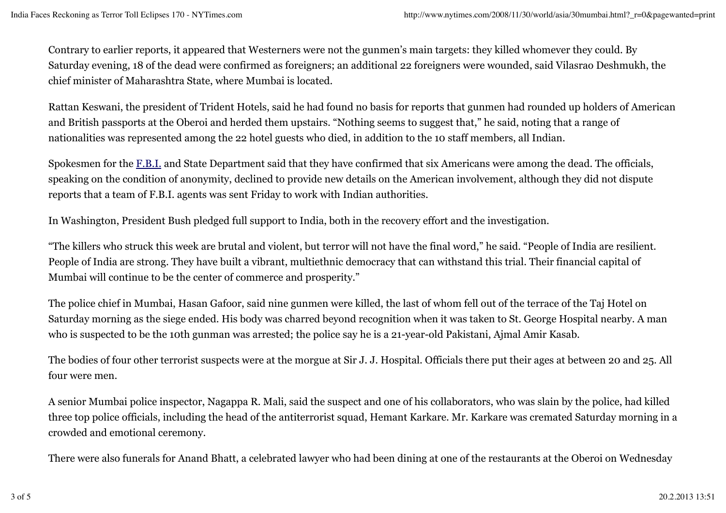Contrary to earlier reports, it appeared that Westerners were not the gunmen's main targets: they killed whomever they could. By Saturday evening, 18 of the dead were confirmed as foreigners; an additional 22 foreigners were wounded, said Vilasrao Deshmukh, the chief minister of Maharashtra State, where Mumbai is located.

Rattan Keswani, the president of Trident Hotels, said he had found no basis for reports that gunmen had rounded up holders of American and British passports at the Oberoi and herded them upstairs. "Nothing seems to suggest that," he said, noting that a range of nationalities was represented among the 22 hotel guests who died, in addition to the 10 staff members, all Indian.

Spokesmen for the F.B.I. and State Department said that they have confirmed that six Americans were among the dead. The officials, speaking on the condition of anonymity, declined to provide new details on the American involvement, although they did not dispute reports that a team of F.B.I. agents was sent Friday to work with Indian authorities.

In Washington, President Bush pledged full support to India, both in the recovery effort and the investigation.

"The killers who struck this week are brutal and violent, but terror will not have the final word," he said. "People of India are resilient. People of India are strong. They have built a vibrant, multiethnic democracy that can withstand this trial. Their financial capital of Mumbai will continue to be the center of commerce and prosperity."

The police chief in Mumbai, Hasan Gafoor, said nine gunmen were killed, the last of whom fell out of the terrace of the Taj Hotel on Saturday morning as the siege ended. His body was charred beyond recognition when it was taken to St. George Hospital nearby. A man who is suspected to be the 10th gunman was arrested; the police say he is a 21-year-old Pakistani, Ajmal Amir Kasab.

The bodies of four other terrorist suspects were at the morgue at Sir J. J. Hospital. Officials there put their ages at between 20 and 25. All four were men.

A senior Mumbai police inspector, Nagappa R. Mali, said the suspect and one of his collaborators, who was slain by the police, had killed three top police officials, including the head of the antiterrorist squad, Hemant Karkare. Mr. Karkare was cremated Saturday morning in a crowded and emotional ceremony.

There were also funerals for Anand Bhatt, a celebrated lawyer who had been dining at one of the restaurants at the Oberoi on Wednesday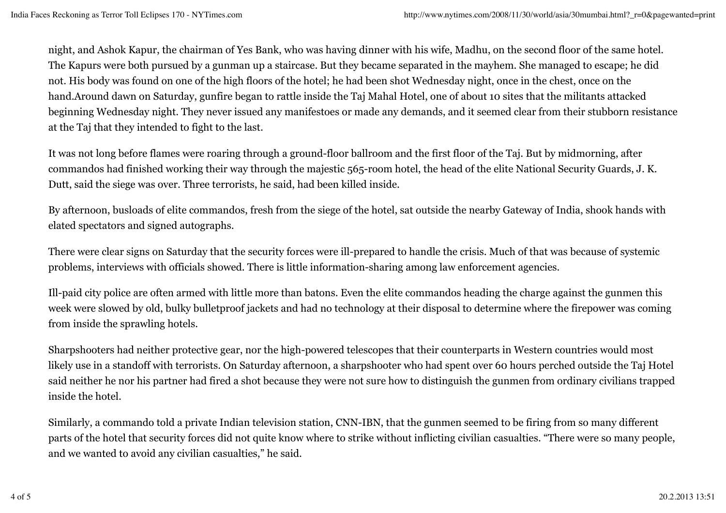night, and Ashok Kapur, the chairman of Yes Bank, who was having dinner with his wife, Madhu, on the second floor of the same hotel. The Kapurs were both pursued by a gunman up a staircase. But they became separated in the mayhem. She managed to escape; he did not. His body was found on one of the high floors of the hotel; he had been shot Wednesday night, once in the chest, once on the hand.Around dawn on Saturday, gunfire began to rattle inside the Taj Mahal Hotel, one of about 10 sites that the militants attacked beginning Wednesday night. They never issued any manifestoes or made any demands, and it seemed clear from their stubborn resistance at the Taj that they intended to fight to the last.

It was not long before flames were roaring through a ground-floor ballroom and the first floor of the Taj. But by midmorning, after commandos had finished working their way through the majestic 565-room hotel, the head of the elite National Security Guards, J. K. Dutt, said the siege was over. Three terrorists, he said, had been killed inside.

By afternoon, busloads of elite commandos, fresh from the siege of the hotel, sat outside the nearby Gateway of India, shook hands with elated spectators and signed autographs.

There were clear signs on Saturday that the security forces were ill-prepared to handle the crisis. Much of that was because of systemic problems, interviews with officials showed. There is little information-sharing among law enforcement agencies.

Ill-paid city police are often armed with little more than batons. Even the elite commandos heading the charge against the gunmen this week were slowed by old, bulky bulletproof jackets and had no technology at their disposal to determine where the firepower was coming from inside the sprawling hotels.

Sharpshooters had neither protective gear, nor the high-powered telescopes that their counterparts in Western countries would most likely use in a standoff with terrorists. On Saturday afternoon, a sharpshooter who had spent over 60 hours perched outside the Taj Hotel said neither he nor his partner had fired a shot because they were not sure how to distinguish the gunmen from ordinary civilians trapped inside the hotel.

Similarly, a commando told a private Indian television station, CNN-IBN, that the gunmen seemed to be firing from so many different parts of the hotel that security forces did not quite know where to strike without inflicting civilian casualties. "There were so many people, and we wanted to avoid any civilian casualties," he said.